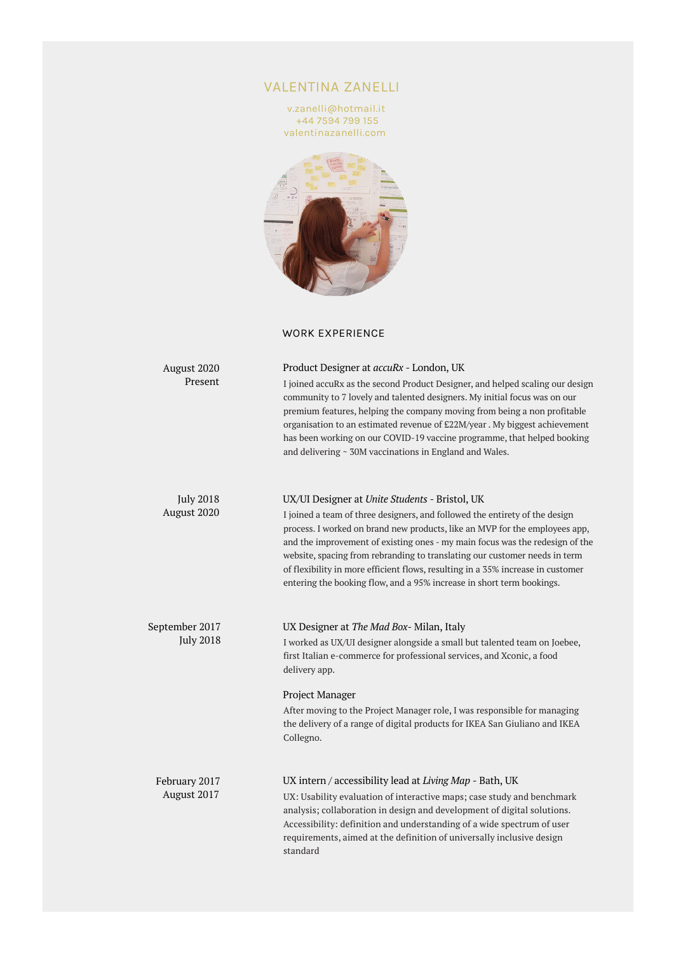## VALENTINA ZANELLI

v.zanelli@hotmail.it +44 7594 799 155 valentinazanelli.com



## WORK EXPERIENCE

| August 2020<br>Present             | Product Designer at accuRx - London, UK<br>I joined accuRx as the second Product Designer, and helped scaling our design<br>community to 7 lovely and talented designers. My initial focus was on our<br>premium features, helping the company moving from being a non profitable<br>organisation to an estimated revenue of £22M/year. My biggest achievement<br>has been working on our COVID-19 vaccine programme, that helped booking<br>and delivering ~ 30M vaccinations in England and Wales.                                   |
|------------------------------------|----------------------------------------------------------------------------------------------------------------------------------------------------------------------------------------------------------------------------------------------------------------------------------------------------------------------------------------------------------------------------------------------------------------------------------------------------------------------------------------------------------------------------------------|
| <b>July 2018</b><br>August 2020    | UX/UI Designer at Unite Students - Bristol, UK<br>I joined a team of three designers, and followed the entirety of the design<br>process. I worked on brand new products, like an MVP for the employees app,<br>and the improvement of existing ones - my main focus was the redesign of the<br>website, spacing from rebranding to translating our customer needs in term<br>of flexibility in more efficient flows, resulting in a 35% increase in customer<br>entering the booking flow, and a 95% increase in short term bookings. |
| September 2017<br><b>July 2018</b> | UX Designer at The Mad Box-Milan, Italy<br>I worked as UX/UI designer alongside a small but talented team on Joebee,<br>first Italian e-commerce for professional services, and Xconic, a food<br>delivery app.<br>Project Manager<br>After moving to the Project Manager role, I was responsible for managing<br>the delivery of a range of digital products for IKEA San Giuliano and IKEA<br>Collegno.                                                                                                                              |
| February 2017<br>August 2017       | UX intern / accessibility lead at Living Map - Bath, UK<br>UX: Usability evaluation of interactive maps; case study and benchmark<br>analysis; collaboration in design and development of digital solutions.<br>Accessibility: definition and understanding of a wide spectrum of user<br>requirements, aimed at the definition of universally inclusive design<br>standard                                                                                                                                                            |